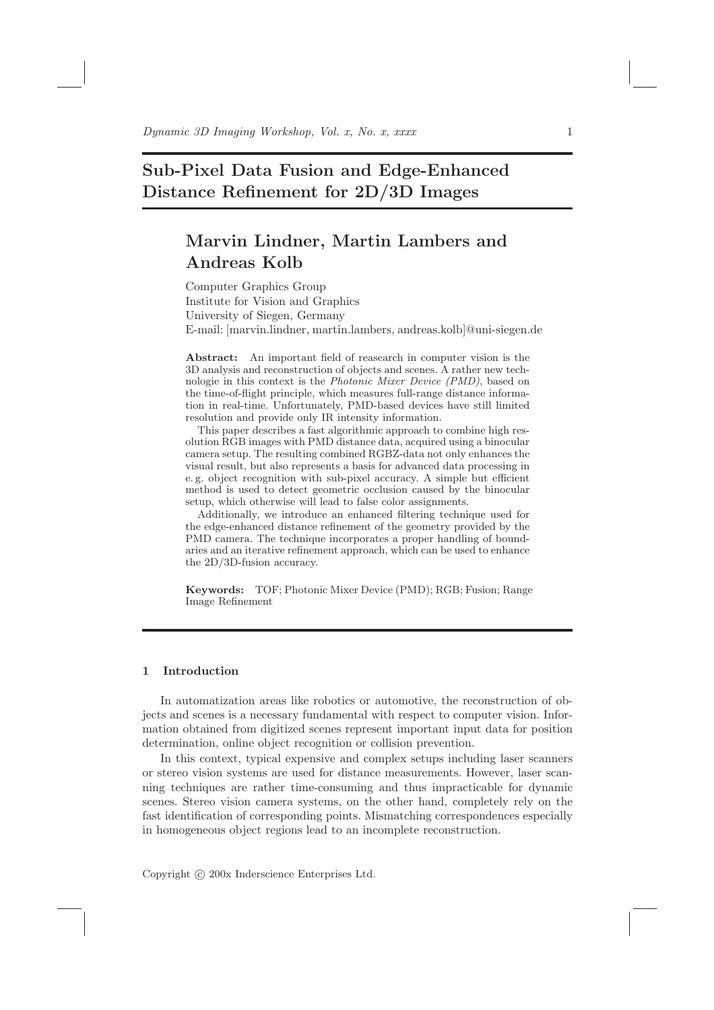# Sub-Pixel Data Fusion and Edge-Enhanced Distance Refinement for 2D/3D Images

# Marvin Lindner, Martin Lambers and Andreas Kolb

Computer Graphics Group Institute for Vision and Graphics University of Siegen, Germany E-mail: [marvin.lindner, martin.lambers, andreas.kolb]@uni-siegen.de

Abstract: An important field of reasearch in computer vision is the 3D analysis and reconstruction of objects and scenes. A rather new technologie in this context is the Photonic Mixer Device (PMD), based on the time-of-flight principle, which measures full-range distance information in real-time. Unfortunately, PMD-based devices have still limited resolution and provide only IR intensity information.

This paper describes a fast algorithmic approach to combine high resolution RGB images with PMD distance data, acquired using a binocular camera setup. The resulting combined RGBZ-data not only enhances the visual result, but also represents a basis for advanced data processing in e. g. object recognition with sub-pixel accuracy. A simple but efficient method is used to detect geometric occlusion caused by the binocular setup, which otherwise will lead to false color assignments.

Additionally, we introduce an enhanced filtering technique used for the edge-enhanced distance refinement of the geometry provided by the PMD camera. The technique incorporates a proper handling of boundaries and an iterative refinement approach, which can be used to enhance the 2D/3D-fusion accuracy.

Keywords: TOF; Photonic Mixer Device (PMD); RGB; Fusion; Range Image Refinement

## 1 Introduction

In automatization areas like robotics or automotive, the reconstruction of objects and scenes is a necessary fundamental with respect to computer vision. Information obtained from digitized scenes represent important input data for position determination, online object recognition or collision prevention.

In this context, typical expensive and complex setups including laser scanners or stereo vision systems are used for distance measurements. However, laser scanning techniques are rather time-consuming and thus impracticable for dynamic scenes. Stereo vision camera systems, on the other hand, completely rely on the fast identification of corresponding points. Mismatching correspondences especially in homogeneous object regions lead to an incomplete reconstruction.

Copyright (c) 200x Inderscience Enterprises Ltd.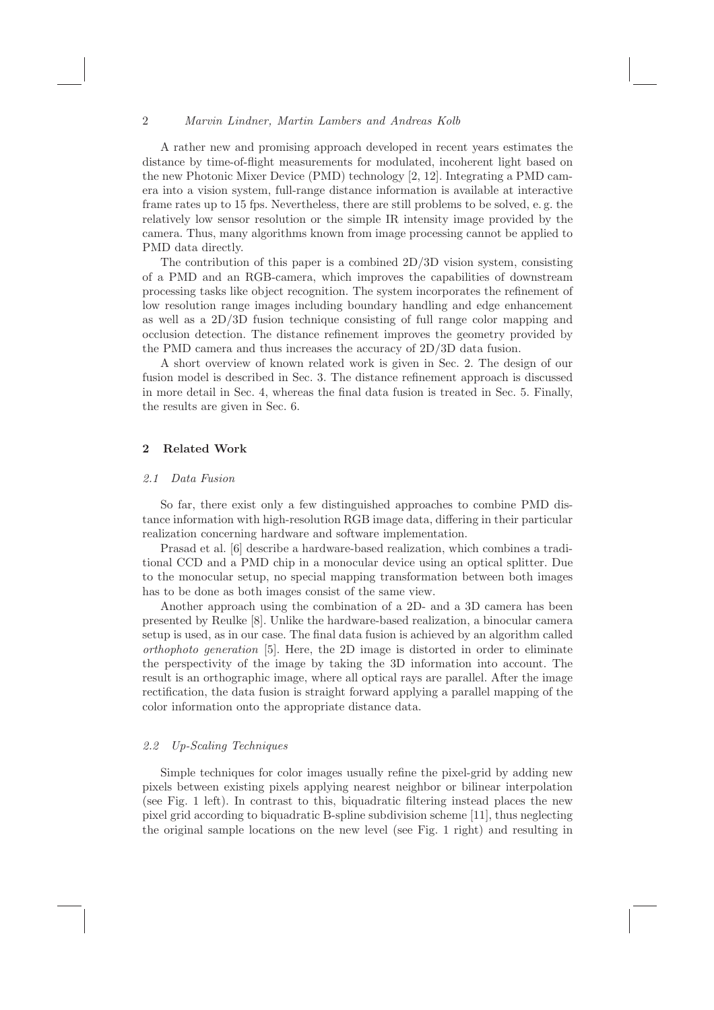#### 2 Marvin Lindner, Martin Lambers and Andreas Kolb

A rather new and promising approach developed in recent years estimates the distance by time-of-flight measurements for modulated, incoherent light based on the new Photonic Mixer Device (PMD) technology [2, 12]. Integrating a PMD camera into a vision system, full-range distance information is available at interactive frame rates up to 15 fps. Nevertheless, there are still problems to be solved, e. g. the relatively low sensor resolution or the simple IR intensity image provided by the camera. Thus, many algorithms known from image processing cannot be applied to PMD data directly.

The contribution of this paper is a combined  $2D/3D$  vision system, consisting of a PMD and an RGB-camera, which improves the capabilities of downstream processing tasks like object recognition. The system incorporates the refinement of low resolution range images including boundary handling and edge enhancement as well as a 2D/3D fusion technique consisting of full range color mapping and occlusion detection. The distance refinement improves the geometry provided by the PMD camera and thus increases the accuracy of 2D/3D data fusion.

A short overview of known related work is given in Sec. 2. The design of our fusion model is described in Sec. 3. The distance refinement approach is discussed in more detail in Sec. 4, whereas the final data fusion is treated in Sec. 5. Finally, the results are given in Sec. 6.

## 2 Related Work

#### 2.1 Data Fusion

So far, there exist only a few distinguished approaches to combine PMD distance information with high-resolution RGB image data, differing in their particular realization concerning hardware and software implementation.

Prasad et al. [6] describe a hardware-based realization, which combines a traditional CCD and a PMD chip in a monocular device using an optical splitter. Due to the monocular setup, no special mapping transformation between both images has to be done as both images consist of the same view.

Another approach using the combination of a 2D- and a 3D camera has been presented by Reulke [8]. Unlike the hardware-based realization, a binocular camera setup is used, as in our case. The final data fusion is achieved by an algorithm called orthophoto generation [5]. Here, the 2D image is distorted in order to eliminate the perspectivity of the image by taking the 3D information into account. The result is an orthographic image, where all optical rays are parallel. After the image rectification, the data fusion is straight forward applying a parallel mapping of the color information onto the appropriate distance data.

#### 2.2 Up-Scaling Techniques

Simple techniques for color images usually refine the pixel-grid by adding new pixels between existing pixels applying nearest neighbor or bilinear interpolation (see Fig. 1 left). In contrast to this, biquadratic filtering instead places the new pixel grid according to biquadratic B-spline subdivision scheme [11], thus neglecting the original sample locations on the new level (see Fig. 1 right) and resulting in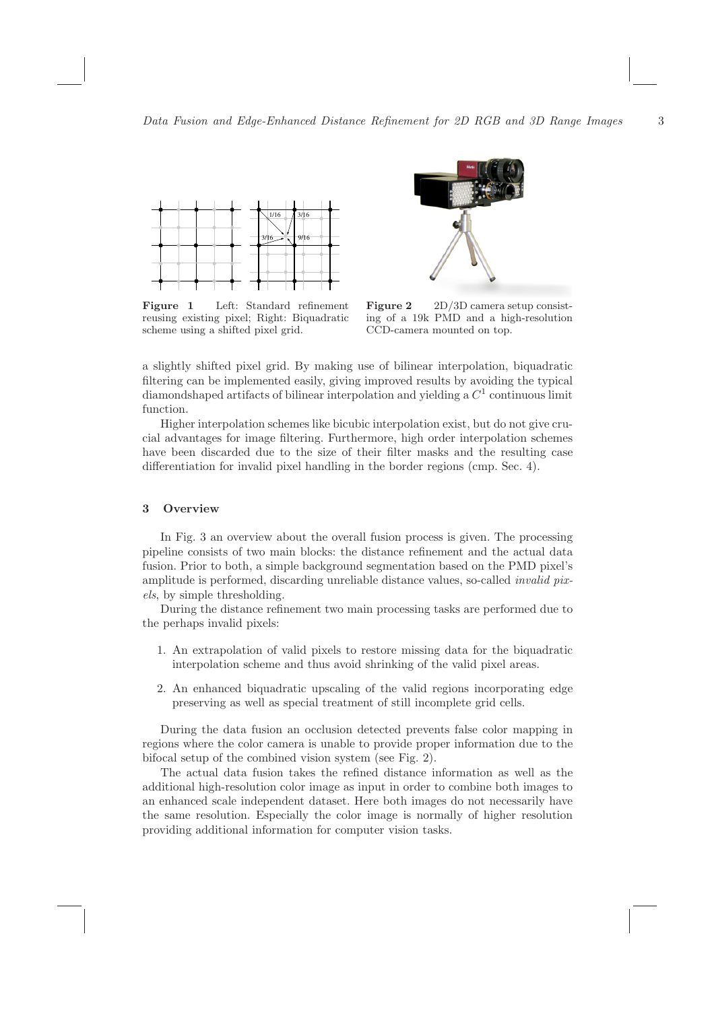

Figure 1 Left: Standard refinement reusing existing pixel; Right: Biquadratic scheme using a shifted pixel grid.



Figure 2 2D/3D camera setup consisting of a 19k PMD and a high-resolution CCD-camera mounted on top.

a slightly shifted pixel grid. By making use of bilinear interpolation, biquadratic filtering can be implemented easily, giving improved results by avoiding the typical diamondshaped artifacts of bilinear interpolation and yielding a  $C<sup>1</sup>$  continuous limit function.

Higher interpolation schemes like bicubic interpolation exist, but do not give crucial advantages for image filtering. Furthermore, high order interpolation schemes have been discarded due to the size of their filter masks and the resulting case differentiation for invalid pixel handling in the border regions (cmp. Sec. 4).

## 3 Overview

In Fig. 3 an overview about the overall fusion process is given. The processing pipeline consists of two main blocks: the distance refinement and the actual data fusion. Prior to both, a simple background segmentation based on the PMD pixel's amplitude is performed, discarding unreliable distance values, so-called *invalid pix*els, by simple thresholding.

During the distance refinement two main processing tasks are performed due to the perhaps invalid pixels:

- 1. An extrapolation of valid pixels to restore missing data for the biquadratic interpolation scheme and thus avoid shrinking of the valid pixel areas.
- 2. An enhanced biquadratic upscaling of the valid regions incorporating edge preserving as well as special treatment of still incomplete grid cells.

During the data fusion an occlusion detected prevents false color mapping in regions where the color camera is unable to provide proper information due to the bifocal setup of the combined vision system (see Fig. 2).

The actual data fusion takes the refined distance information as well as the additional high-resolution color image as input in order to combine both images to an enhanced scale independent dataset. Here both images do not necessarily have the same resolution. Especially the color image is normally of higher resolution providing additional information for computer vision tasks.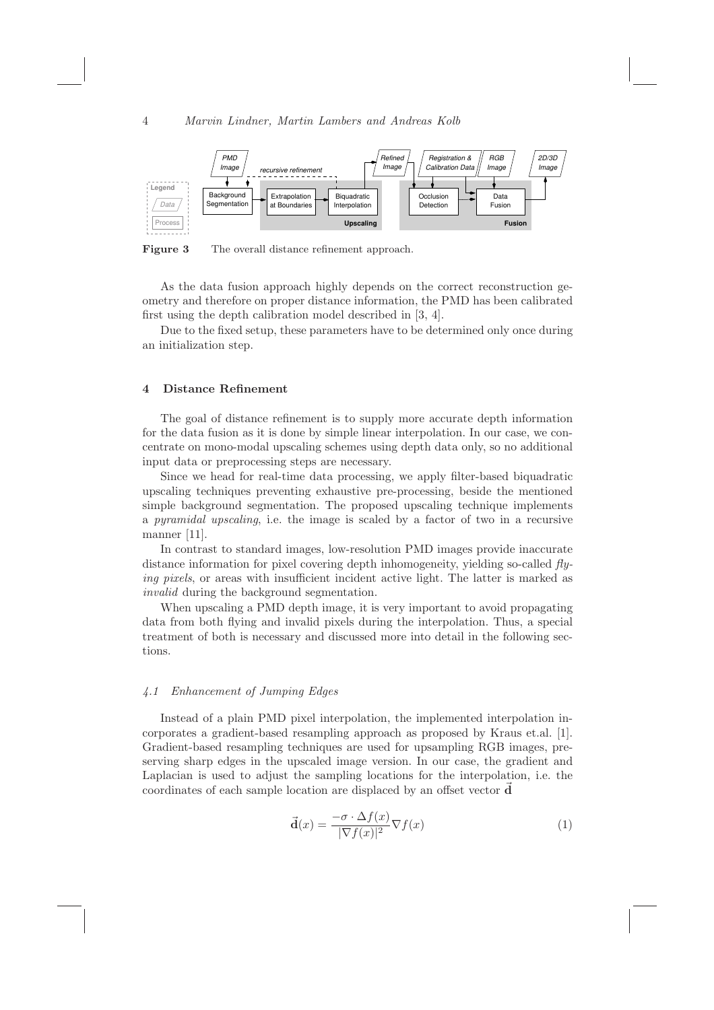

Figure 3 The overall distance refinement approach.

As the data fusion approach highly depends on the correct reconstruction geometry and therefore on proper distance information, the PMD has been calibrated first using the depth calibration model described in [3, 4].

Due to the fixed setup, these parameters have to be determined only once during an initialization step.

## 4 Distance Refinement

The goal of distance refinement is to supply more accurate depth information for the data fusion as it is done by simple linear interpolation. In our case, we concentrate on mono-modal upscaling schemes using depth data only, so no additional input data or preprocessing steps are necessary.

Since we head for real-time data processing, we apply filter-based biquadratic upscaling techniques preventing exhaustive pre-processing, beside the mentioned simple background segmentation. The proposed upscaling technique implements a pyramidal upscaling, i.e. the image is scaled by a factor of two in a recursive manner [11].

In contrast to standard images, low-resolution PMD images provide inaccurate distance information for pixel covering depth inhomogeneity, yielding so-called  $fly$ ing pixels, or areas with insufficient incident active light. The latter is marked as invalid during the background segmentation.

When upscaling a PMD depth image, it is very important to avoid propagating data from both flying and invalid pixels during the interpolation. Thus, a special treatment of both is necessary and discussed more into detail in the following sections.

## 4.1 Enhancement of Jumping Edges

Instead of a plain PMD pixel interpolation, the implemented interpolation incorporates a gradient-based resampling approach as proposed by Kraus et.al. [1]. Gradient-based resampling techniques are used for upsampling RGB images, preserving sharp edges in the upscaled image version. In our case, the gradient and Laplacian is used to adjust the sampling locations for the interpolation, i.e. the coordinates of each sample location are displaced by an offset vector  $$ 

$$
\vec{\mathbf{d}}(x) = \frac{-\sigma \cdot \Delta f(x)}{|\nabla f(x)|^2} \nabla f(x)
$$
\n(1)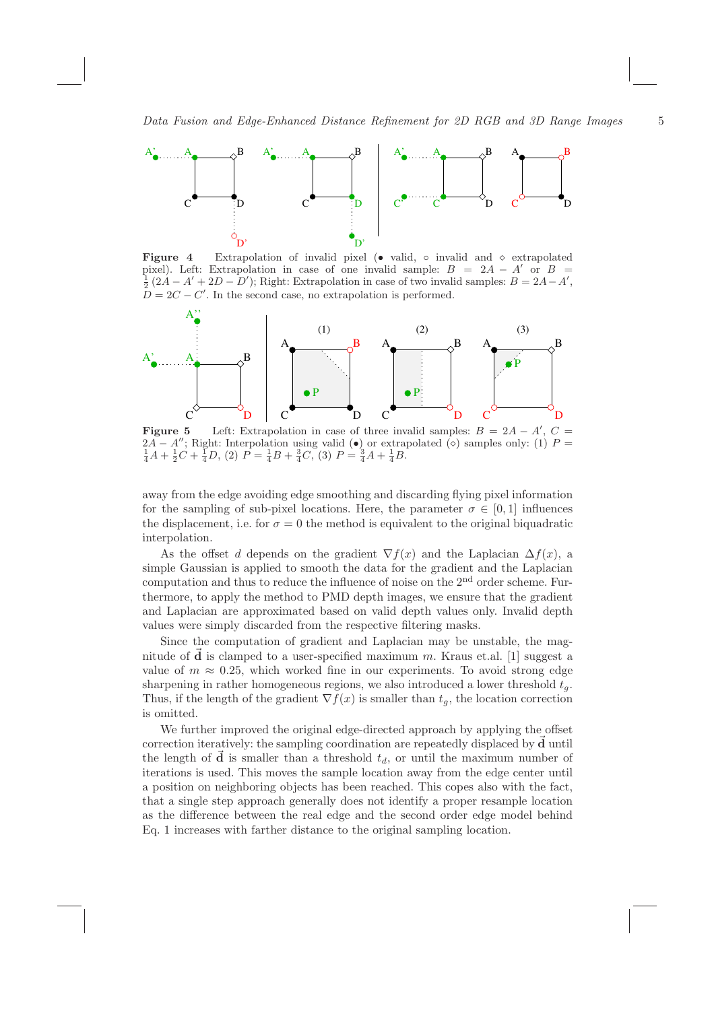

**Figure 4** Extrapolation of invalid pixel (• valid,  $\circ$  invalid and  $\circ$  extrapolated pixel). Left: Extrapolation in case of one invalid sample:  $B = 2A - A'$  or  $B =$  $\frac{1}{2}(2A - A' + 2D - D')$ ; Right: Extrapolation in case of two invalid samples:  $B = 2A - A'$ ,  $\overrightarrow{D} = 2C - C'$ . In the second case, no extrapolation is performed.



Figure 5 Left: Extrapolation in case of three invalid samples:  $B = 2A - A', C =$ 2A − A''; Right: Interpolation using valid (●) or extrapolated (◇) samples only: (1)  $P = \frac{1}{4}A + \frac{1}{2}C + \frac{1}{4}D$ , (2)  $P = \frac{1}{4}B + \frac{3}{4}C$ , (3)  $P = \frac{3}{4}A + \frac{1}{4}B$ .

away from the edge avoiding edge smoothing and discarding flying pixel information for the sampling of sub-pixel locations. Here, the parameter  $\sigma \in [0, 1]$  influences the displacement, i.e. for  $\sigma = 0$  the method is equivalent to the original biquadratic interpolation.

As the offset d depends on the gradient  $\nabla f(x)$  and the Laplacian  $\Delta f(x)$ , a simple Gaussian is applied to smooth the data for the gradient and the Laplacian computation and thus to reduce the influence of noise on the  $2<sup>nd</sup>$  order scheme. Furthermore, to apply the method to PMD depth images, we ensure that the gradient and Laplacian are approximated based on valid depth values only. Invalid depth values were simply discarded from the respective filtering masks.

Since the computation of gradient and Laplacian may be unstable, the magnitude of  $\dot{d}$  is clamped to a user-specified maximum m. Kraus et.al. [1] suggest a value of  $m \approx 0.25$ , which worked fine in our experiments. To avoid strong edge sharpening in rather homogeneous regions, we also introduced a lower threshold  $t_q$ . Thus, if the length of the gradient  $\nabla f(x)$  is smaller than  $t_g$ , the location correction is omitted.

We further improved the original edge-directed approach by applying the offset correction iteratively: the sampling coordination are repeatedly displaced by  $\vec{d}$  until the length of  $\vec{d}$  is smaller than a threshold  $t_d$ , or until the maximum number of iterations is used. This moves the sample location away from the edge center until a position on neighboring objects has been reached. This copes also with the fact, that a single step approach generally does not identify a proper resample location as the difference between the real edge and the second order edge model behind Eq. 1 increases with farther distance to the original sampling location.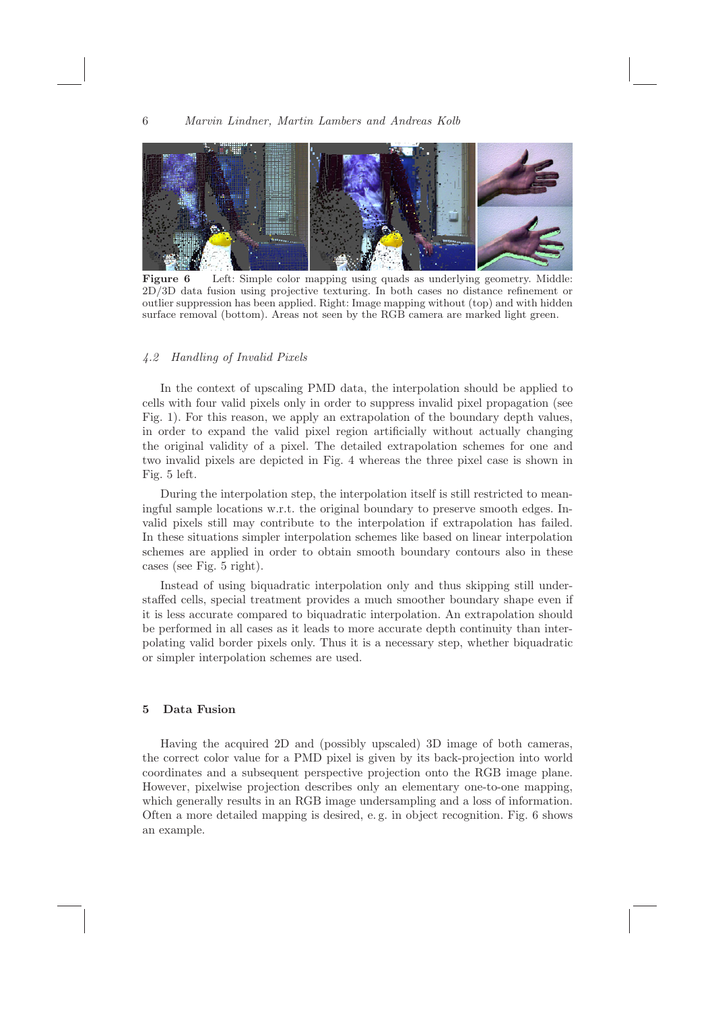

Figure 6 Left: Simple color mapping using quads as underlying geometry. Middle: 2D/3D data fusion using projective texturing. In both cases no distance refinement or outlier suppression has been applied. Right: Image mapping without (top) and with hidden surface removal (bottom). Areas not seen by the RGB camera are marked light green.

## 4.2 Handling of Invalid Pixels

In the context of upscaling PMD data, the interpolation should be applied to cells with four valid pixels only in order to suppress invalid pixel propagation (see Fig. 1). For this reason, we apply an extrapolation of the boundary depth values, in order to expand the valid pixel region artificially without actually changing the original validity of a pixel. The detailed extrapolation schemes for one and two invalid pixels are depicted in Fig. 4 whereas the three pixel case is shown in Fig. 5 left.

During the interpolation step, the interpolation itself is still restricted to meaningful sample locations w.r.t. the original boundary to preserve smooth edges. Invalid pixels still may contribute to the interpolation if extrapolation has failed. In these situations simpler interpolation schemes like based on linear interpolation schemes are applied in order to obtain smooth boundary contours also in these cases (see Fig. 5 right).

Instead of using biquadratic interpolation only and thus skipping still understaffed cells, special treatment provides a much smoother boundary shape even if it is less accurate compared to biquadratic interpolation. An extrapolation should be performed in all cases as it leads to more accurate depth continuity than interpolating valid border pixels only. Thus it is a necessary step, whether biquadratic or simpler interpolation schemes are used.

## 5 Data Fusion

Having the acquired 2D and (possibly upscaled) 3D image of both cameras, the correct color value for a PMD pixel is given by its back-projection into world coordinates and a subsequent perspective projection onto the RGB image plane. However, pixelwise projection describes only an elementary one-to-one mapping, which generally results in an RGB image undersampling and a loss of information. Often a more detailed mapping is desired, e. g. in object recognition. Fig. 6 shows an example.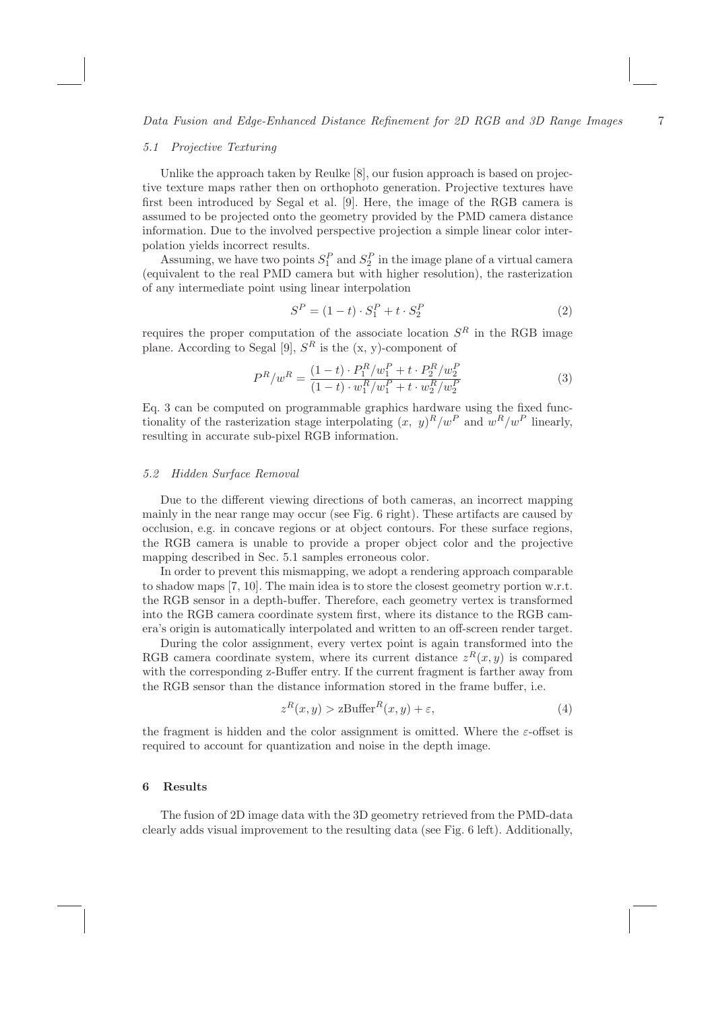#### 5.1 Projective Texturing

Unlike the approach taken by Reulke [8], our fusion approach is based on projective texture maps rather then on orthophoto generation. Projective textures have first been introduced by Segal et al. [9]. Here, the image of the RGB camera is assumed to be projected onto the geometry provided by the PMD camera distance information. Due to the involved perspective projection a simple linear color interpolation yields incorrect results.

Assuming, we have two points  $S_1^P$  and  $S_2^P$  in the image plane of a virtual camera (equivalent to the real PMD camera but with higher resolution), the rasterization of any intermediate point using linear interpolation

$$
S^{P} = (1 - t) \cdot S_1^{P} + t \cdot S_2^{P}
$$
 (2)

requires the proper computation of the associate location  $S<sup>R</sup>$  in the RGB image plane. According to Segal [9],  $S<sup>R</sup>$  is the  $(x, y)$ -component of

$$
P^{R}/w^{R} = \frac{(1-t) \cdot P_{1}^{R}/w_{1}^{P} + t \cdot P_{2}^{R}/w_{2}^{P}}{(1-t) \cdot w_{1}^{R}/w_{1}^{P} + t \cdot w_{2}^{R}/w_{2}^{P}}
$$
(3)

Eq. 3 can be computed on programmable graphics hardware using the fixed functionality of the rasterization stage interpolating  $(x, y)^R/w^P$  and  $w^R/w^P$  linearly, resulting in accurate sub-pixel RGB information.

#### 5.2 Hidden Surface Removal

Due to the different viewing directions of both cameras, an incorrect mapping mainly in the near range may occur (see Fig. 6 right). These artifacts are caused by occlusion, e.g. in concave regions or at object contours. For these surface regions, the RGB camera is unable to provide a proper object color and the projective mapping described in Sec. 5.1 samples erroneous color.

In order to prevent this mismapping, we adopt a rendering approach comparable to shadow maps [7, 10]. The main idea is to store the closest geometry portion w.r.t. the RGB sensor in a depth-buffer. Therefore, each geometry vertex is transformed into the RGB camera coordinate system first, where its distance to the RGB camera's origin is automatically interpolated and written to an off-screen render target.

During the color assignment, every vertex point is again transformed into the RGB camera coordinate system, where its current distance  $z<sup>R</sup>(x, y)$  is compared with the corresponding z-Buffer entry. If the current fragment is farther away from the RGB sensor than the distance information stored in the frame buffer, i.e.

$$
z^{R}(x, y) > z\text{Buffer}^{R}(x, y) + \varepsilon,
$$
\n<sup>(4)</sup>

the fragment is hidden and the color assignment is omitted. Where the  $\varepsilon$ -offset is required to account for quantization and noise in the depth image.

#### 6 Results

The fusion of 2D image data with the 3D geometry retrieved from the PMD-data clearly adds visual improvement to the resulting data (see Fig. 6 left). Additionally,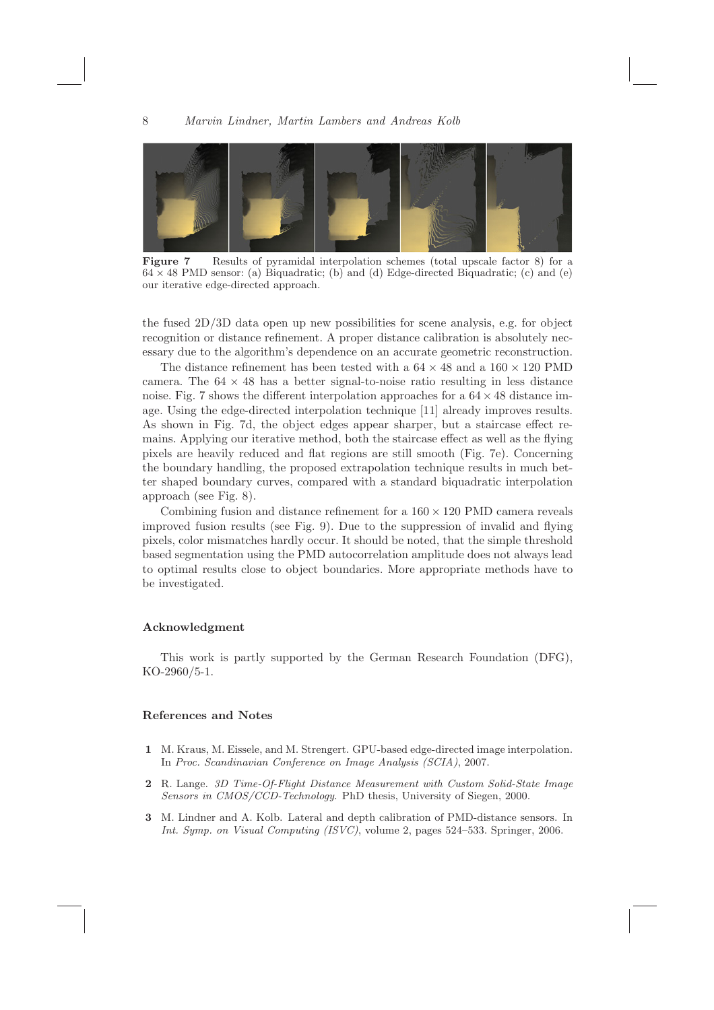

Figure 7 Results of pyramidal interpolation schemes (total upscale factor 8) for a  $64 \times 48$  PMD sensor: (a) Biquadratic; (b) and (d) Edge-directed Biquadratic; (c) and (e) our iterative edge-directed approach.

the fused 2D/3D data open up new possibilities for scene analysis, e.g. for object recognition or distance refinement. A proper distance calibration is absolutely necessary due to the algorithm's dependence on an accurate geometric reconstruction.

The distance refinement has been tested with a  $64 \times 48$  and a  $160 \times 120$  PMD camera. The  $64 \times 48$  has a better signal-to-noise ratio resulting in less distance noise. Fig. 7 shows the different interpolation approaches for a  $64 \times 48$  distance image. Using the edge-directed interpolation technique [11] already improves results. As shown in Fig. 7d, the object edges appear sharper, but a staircase effect remains. Applying our iterative method, both the staircase effect as well as the flying pixels are heavily reduced and flat regions are still smooth (Fig. 7e). Concerning the boundary handling, the proposed extrapolation technique results in much better shaped boundary curves, compared with a standard biquadratic interpolation approach (see Fig. 8).

Combining fusion and distance refinement for a  $160 \times 120$  PMD camera reveals improved fusion results (see Fig. 9). Due to the suppression of invalid and flying pixels, color mismatches hardly occur. It should be noted, that the simple threshold based segmentation using the PMD autocorrelation amplitude does not always lead to optimal results close to object boundaries. More appropriate methods have to be investigated.

### Acknowledgment

This work is partly supported by the German Research Foundation (DFG), KO-2960/5-1.

## References and Notes

- 1 M. Kraus, M. Eissele, and M. Strengert. GPU-based edge-directed image interpolation. In Proc. Scandinavian Conference on Image Analysis (SCIA), 2007.
- 2 R. Lange. 3D Time-Of-Flight Distance Measurement with Custom Solid-State Image Sensors in CMOS/CCD-Technology. PhD thesis, University of Siegen, 2000.
- 3 M. Lindner and A. Kolb. Lateral and depth calibration of PMD-distance sensors. In Int. Symp. on Visual Computing (ISVC), volume 2, pages 524–533. Springer, 2006.